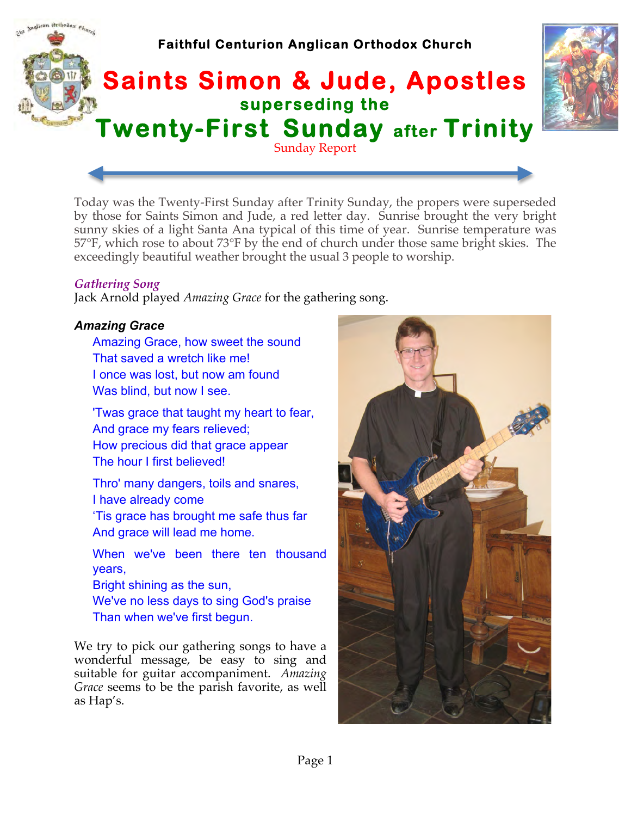

Today was the Twenty-First Sunday after Trinity Sunday, the propers were superseded by those for Saints Simon and Jude, a red letter day. Sunrise brought the very bright sunny skies of a light Santa Ana typical of this time of year. Sunrise temperature was 57°F, which rose to about 73°F by the end of church under those same bright skies. The exceedingly beautiful weather brought the usual 3 people to worship.

## *Gathering Song*

Jack Arnold played *Amazing Grace* for the gathering song.

# *Amazing Grace*

Amazing Grace, how sweet the sound That saved a wretch like me! I once was lost, but now am found Was blind, but now I see.

'Twas grace that taught my heart to fear, And grace my fears relieved; How precious did that grace appear The hour I first believed!

Thro' many dangers, toils and snares, I have already come

'Tis grace has brought me safe thus far And grace will lead me home.

When we've been there ten thousand years,

Bright shining as the sun, We've no less days to sing God's praise Than when we've first begun.

We try to pick our gathering songs to have a wonderful message, be easy to sing and suitable for guitar accompaniment. *Amazing Grace* seems to be the parish favorite, as well as Hap's.

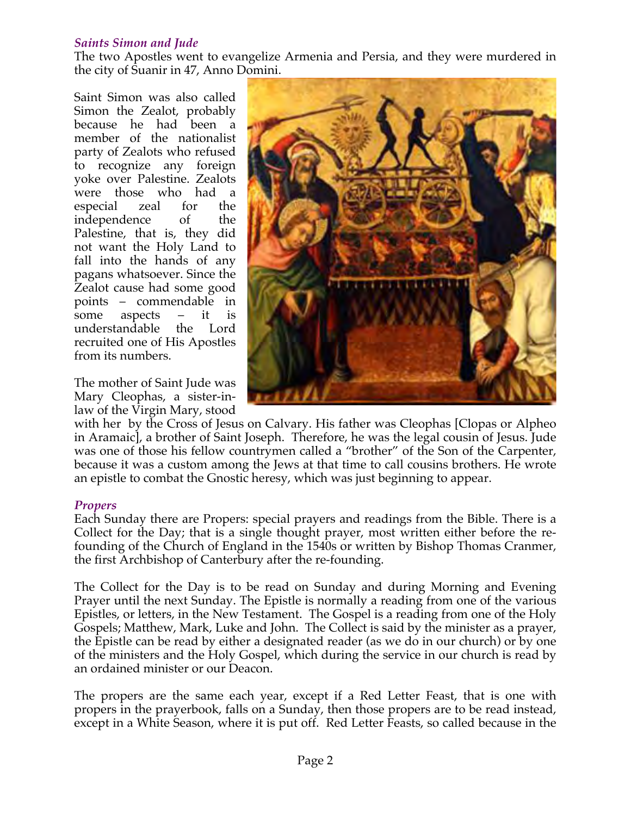## *Saints Simon and Jude*

The two Apostles went to evangelize Armenia and Persia, and they were murdered in the city of Suanir in 47, Anno Domini.

Saint Simon was also called Simon the Zealot, probably because he had been a member of the nationalist party of Zealots who refused to recognize any foreign yoke over Palestine. Zealots were those who had a especial zeal for the independence of the Palestine, that is, they did not want the Holy Land to fall into the hands of any pagans whatsoever. Since the Zealot cause had some good points – commendable in some aspects – it is understandable the Lord recruited one of His Apostles from its numbers.

The mother of Saint Jude was Mary Cleophas, a sister-inlaw of the Virgin Mary, stood



with her by the Cross of Jesus on Calvary. His father was Cleophas [Clopas or Alpheo in Aramaic], a brother of Saint Joseph. Therefore, he was the legal cousin of Jesus. Jude was one of those his fellow countrymen called a "brother" of the Son of the Carpenter, because it was a custom among the Jews at that time to call cousins brothers. He wrote an epistle to combat the Gnostic heresy, which was just beginning to appear.

## *Propers*

Each Sunday there are Propers: special prayers and readings from the Bible. There is a Collect for the Day; that is a single thought prayer, most written either before the refounding of the Church of England in the 1540s or written by Bishop Thomas Cranmer, the first Archbishop of Canterbury after the re-founding.

The Collect for the Day is to be read on Sunday and during Morning and Evening Prayer until the next Sunday. The Epistle is normally a reading from one of the various Epistles, or letters, in the New Testament. The Gospel is a reading from one of the Holy Gospels; Matthew, Mark, Luke and John. The Collect is said by the minister as a prayer, the Epistle can be read by either a designated reader (as we do in our church) or by one of the ministers and the Holy Gospel, which during the service in our church is read by an ordained minister or our Deacon.

The propers are the same each year, except if a Red Letter Feast, that is one with propers in the prayerbook, falls on a Sunday, then those propers are to be read instead, except in a White Season, where it is put off. Red Letter Feasts, so called because in the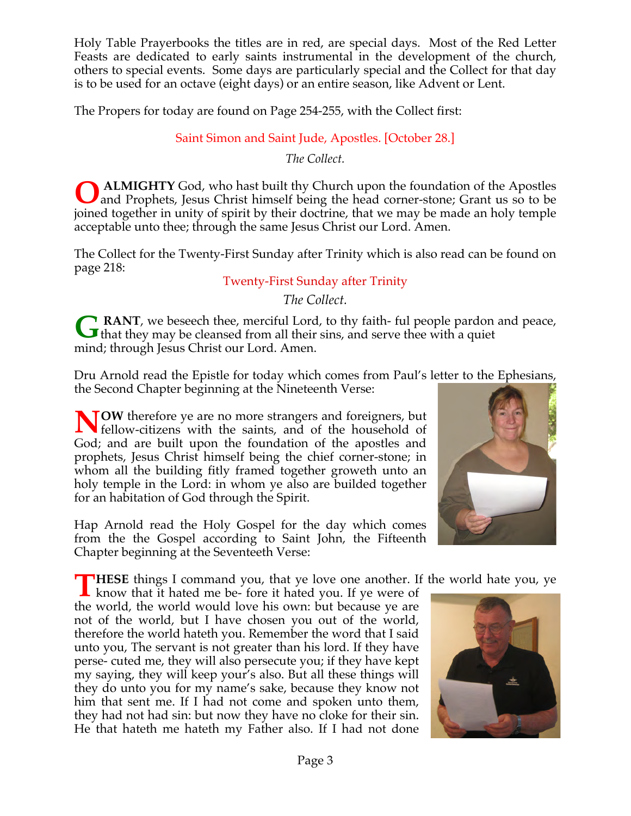Holy Table Prayerbooks the titles are in red, are special days. Most of the Red Letter Feasts are dedicated to early saints instrumental in the development of the church, others to special events. Some days are particularly special and the Collect for that day is to be used for an octave (eight days) or an entire season, like Advent or Lent.

The Propers for today are found on Page 254-255, with the Collect first:

# Saint Simon and Saint Jude, Apostles. [October 28.]

*The Collect.*

 **ALMIGHTY** God, who hast built thy Church upon the foundation of the Apostles and Prophets, Jesus Christ himself being the head corner-stone; Grant us so to be joined together in unity of spirit by their doctrine, that we may be made an holy temple acceptable unto thee; through the same Jesus Christ our Lord. Amen. **O**

The Collect for the Twenty-First Sunday after Trinity which is also read can be found on page 218:

# Twenty-First Sunday after Trinity

*The Collect.*

**RANT**, we beseech thee, merciful Lord, to thy faith- ful people pardon and peace, **G** RANT, we beseech thee, merciful Lord, to thy faith- ful people pardon that they may be cleansed from all their sins, and serve thee with a quiet mind; through Jesus Christ our Lord. Amen.

Dru Arnold read the Epistle for today which comes from Paul's letter to the Ephesians, the Second Chapter beginning at the Nineteenth Verse:

**TOW** therefore ye are no more strangers and foreigners, but **NOW** therefore ye are no more strangers and foreigners, but fellow-citizens with the saints, and of the household of God; and are built upon the foundation of the apostles and prophets, Jesus Christ himself being the chief corner-stone; in whom all the building fitly framed together groweth unto an holy temple in the Lord: in whom ye also are builded together for an habitation of God through the Spirit.

Hap Arnold read the Holy Gospel for the day which comes from the the Gospel according to Saint John, the Fifteenth Chapter beginning at the Seventeeth Verse:

**HESE** things I command you, that ye love one another. If the world hate you, ye

**THESE** things I command you, that ye love one another. If know that it hated me be- fore it hated you. If ye were of the world, the world would love his own: but because ye are not of the world, but I have chosen you out of the world, therefore the world hateth you. Remember the word that I said unto you, The servant is not greater than his lord. If they have perse- cuted me, they will also persecute you; if they have kept my saying, they will keep your's also. But all these things will they do unto you for my name's sake, because they know not him that sent me. If I had not come and spoken unto them, they had not had sin: but now they have no cloke for their sin. He that hateth me hateth my Father also. If I had not done



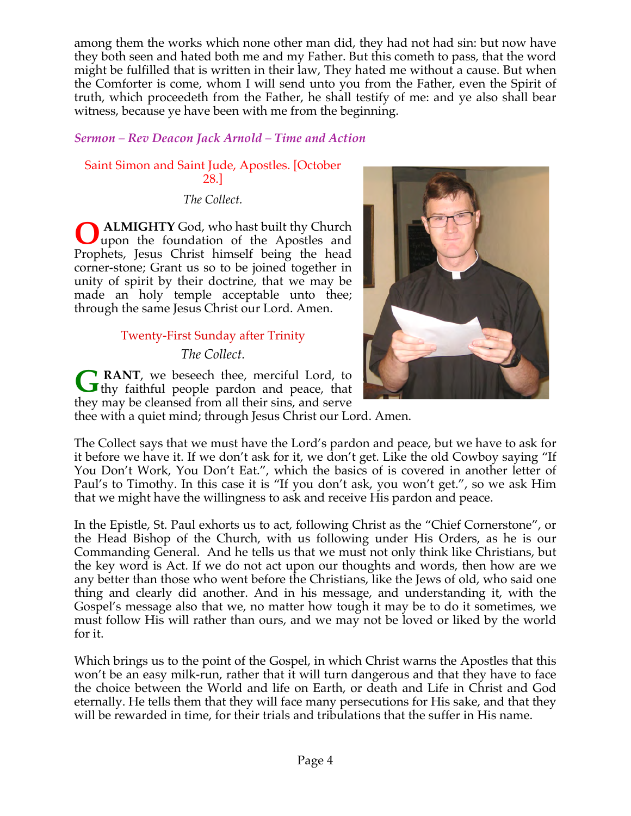among them the works which none other man did, they had not had sin: but now have they both seen and hated both me and my Father. But this cometh to pass, that the word might be fulfilled that is written in their law, They hated me without a cause. But when the Comforter is come, whom I will send unto you from the Father, even the Spirit of truth, which proceedeth from the Father, he shall testify of me: and ye also shall bear witness, because ye have been with me from the beginning.

# *Sermon – Rev Deacon Jack Arnold – Time and Action*

# Saint Simon and Saint Jude, Apostles. [October 28.]

*The Collect.*

 **ALMIGHTY** God, who hast built thy Church upon the foundation of the Apostles and Prophets, Jesus Christ himself being the head corner-stone; Grant us so to be joined together in unity of spirit by their doctrine, that we may be made an holy temple acceptable unto thee; through the same Jesus Christ our Lord. Amen. **O**

# Twenty-First Sunday after Trinity

*The Collect.*

**RANT**, we beseech thee, merciful Lord, to **G** RANT, we beseech thee, merciful Lord, to thy faithful people pardon and peace, that they may be cleansed from all their sins, and serve



thee with a quiet mind; through Jesus Christ our Lord. Amen.

The Collect says that we must have the Lord's pardon and peace, but we have to ask for it before we have it. If we don't ask for it, we don't get. Like the old Cowboy saying "If You Don't Work, You Don't Eat.", which the basics of is covered in another letter of Paul's to Timothy. In this case it is "If you don't ask, you won't get.", so we ask Him that we might have the willingness to ask and receive His pardon and peace.

In the Epistle, St. Paul exhorts us to act, following Christ as the "Chief Cornerstone", or the Head Bishop of the Church, with us following under His Orders, as he is our Commanding General. And he tells us that we must not only think like Christians, but the key word is Act. If we do not act upon our thoughts and words, then how are we any better than those who went before the Christians, like the Jews of old, who said one thing and clearly did another. And in his message, and understanding it, with the Gospel's message also that we, no matter how tough it may be to do it sometimes, we must follow His will rather than ours, and we may not be loved or liked by the world for it.

Which brings us to the point of the Gospel, in which Christ warns the Apostles that this won't be an easy milk-run, rather that it will turn dangerous and that they have to face the choice between the World and life on Earth, or death and Life in Christ and God eternally. He tells them that they will face many persecutions for His sake, and that they will be rewarded in time, for their trials and tribulations that the suffer in His name.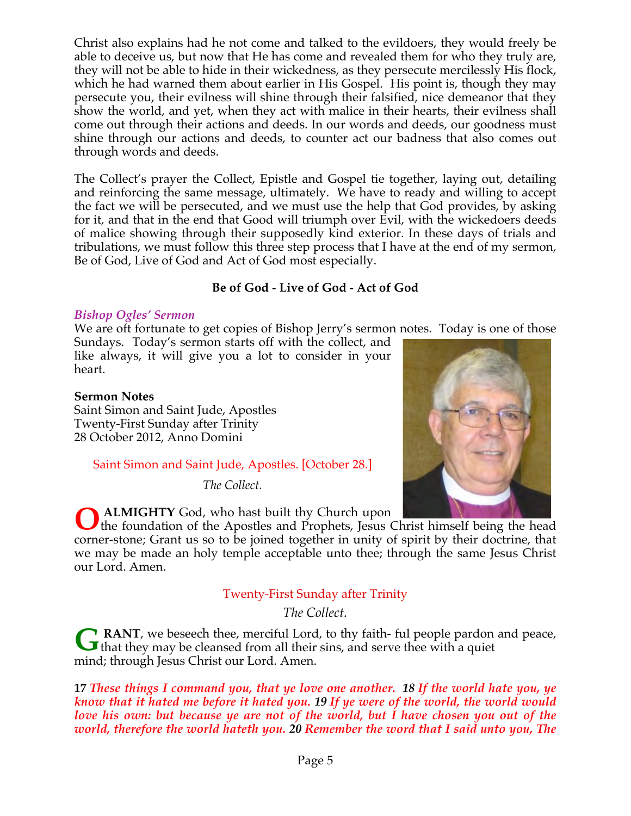Christ also explains had he not come and talked to the evildoers, they would freely be able to deceive us, but now that He has come and revealed them for who they truly are, they will not be able to hide in their wickedness, as they persecute mercilessly His flock, which he had warned them about earlier in His Gospel. His point is, though they may persecute you, their evilness will shine through their falsified, nice demeanor that they show the world, and yet, when they act with malice in their hearts, their evilness shall come out through their actions and deeds. In our words and deeds, our goodness must shine through our actions and deeds, to counter act our badness that also comes out through words and deeds.

The Collect's prayer the Collect, Epistle and Gospel tie together, laying out, detailing and reinforcing the same message, ultimately. We have to ready and willing to accept the fact we will be persecuted, and we must use the help that God provides, by asking for it, and that in the end that Good will triumph over Evil, with the wickedoers deeds of malice showing through their supposedly kind exterior. In these days of trials and tribulations, we must follow this three step process that I have at the end of my sermon, Be of God, Live of God and Act of God most especially.

# **Be of God - Live of God - Act of God**

## *Bishop Ogles' Sermon*

We are oft fortunate to get copies of Bishop Jerry's sermon notes. Today is one of those

Sundays. Today's sermon starts off with the collect, and like always, it will give you a lot to consider in your heart.

## **Sermon Notes**

Saint Simon and Saint Jude, Apostles Twenty-First Sunday after Trinity 28 October 2012, Anno Domini

# Saint Simon and Saint Jude, Apostles. [October 28.]

*The Collect.*



 **ALMIGHTY** God, who hast built thy Church upon

the foundation of the Apostles and Prophets, Jesus Christ himself being the head corner-stone; Grant us so to be joined together in unity of spirit by their doctrine, that we may be made an holy temple acceptable unto thee; through the same Jesus Christ our Lord. Amen. **O**

# Twenty-First Sunday after Trinity

*The Collect.*

**RANT**, we beseech thee, merciful Lord, to thy faith- ful people pardon and peace, **G** RANT, we beseech thee, merciful Lord, to thy faith- ful people pardon that they may be cleansed from all their sins, and serve thee with a quiet mind; through Jesus Christ our Lord. Amen.

**17** *These things I command you, that ye love one another. 18 If the world hate you, ye know that it hated me before it hated you. 19 If ye were of the world, the world would love his own: but because ye are not of the world, but I have chosen you out of the world, therefore the world hateth you. 20 Remember the word that I said unto you, The*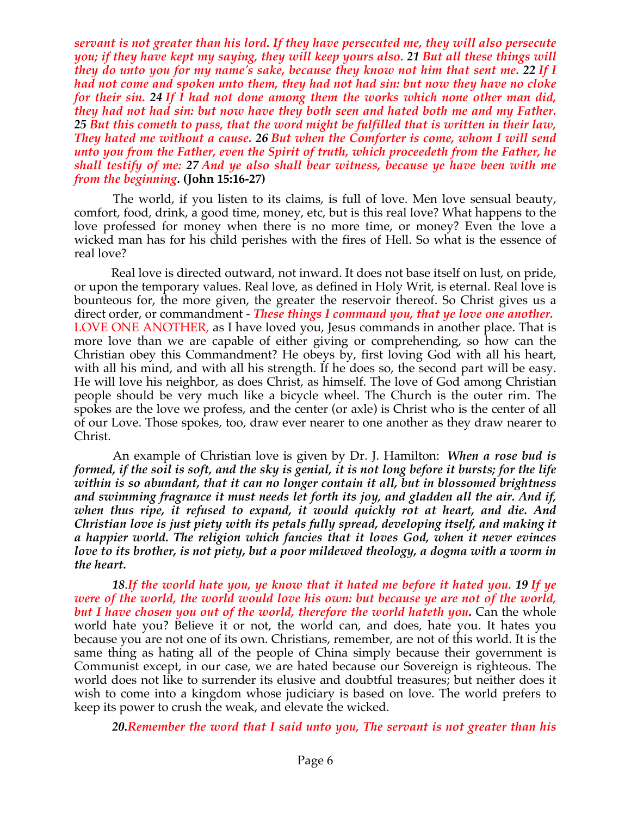*servant is not greater than his lord. If they have persecuted me, they will also persecute you; if they have kept my saying, they will keep yours also. 21 But all these things will they do unto you for my name's sake, because they know not him that sent me. 22 If I had not come and spoken unto them, they had not had sin: but now they have no cloke for their sin. 24 If I had not done among them the works which none other man did, they had not had sin: but now have they both seen and hated both me and my Father. 25 But this cometh to pass, that the word might be fulfilled that is written in their law, They hated me without a cause. 26 But when the Comforter is come, whom I will send unto you from the Father, even the Spirit of truth, which proceedeth from the Father, he shall testify of me: 27 And ye also shall bear witness, because ye have been with me from the beginning***. (John 15:16-27)**

The world, if you listen to its claims, is full of love. Men love sensual beauty, comfort, food, drink, a good time, money, etc, but is this real love? What happens to the love professed for money when there is no more time, or money? Even the love a wicked man has for his child perishes with the fires of Hell. So what is the essence of real love?

Real love is directed outward, not inward. It does not base itself on lust, on pride, or upon the temporary values. Real love, as defined in Holy Writ, is eternal. Real love is bounteous for, the more given, the greater the reservoir thereof. So Christ gives us a direct order, or commandment - *These things I command you, that ye love one another.* LOVE ONE ANOTHER, as I have loved you, Jesus commands in another place. That is more love than we are capable of either giving or comprehending, so how can the Christian obey this Commandment? He obeys by, first loving God with all his heart, with all his mind, and with all his strength. If he does so, the second part will be easy. He will love his neighbor, as does Christ, as himself. The love of God among Christian people should be very much like a bicycle wheel. The Church is the outer rim. The spokes are the love we profess, and the center (or axle) is Christ who is the center of all of our Love. Those spokes, too, draw ever nearer to one another as they draw nearer to Christ.

 An example of Christian love is given by Dr. J. Hamilton: *When a rose bud is formed, if the soil is soft, and the sky is genial, it is not long before it bursts; for the life within is so abundant, that it can no longer contain it all, but in blossomed brightness and swimming fragrance it must needs let forth its joy, and gladden all the air. And if, when thus ripe, it refused to expand, it would quickly rot at heart, and die. And Christian love is just piety with its petals fully spread, developing itself, and making it a happier world. The religion which fancies that it loves God, when it never evinces love to its brother, is not piety, but a poor mildewed theology, a dogma with a worm in the heart.*

 *18*.*If the world hate you, ye know that it hated me before it hated you. 19 If ye were of the world, the world would love his own: but because ye are not of the world, but I have chosen you out of the world, therefore the world hateth you.* Can the whole world hate you? Believe it or not, the world can, and does, hate you. It hates you because you are not one of its own. Christians, remember, are not of this world. It is the same thing as hating all of the people of China simply because their government is Communist except, in our case, we are hated because our Sovereign is righteous. The world does not like to surrender its elusive and doubtful treasures; but neither does it wish to come into a kingdom whose judiciary is based on love. The world prefers to keep its power to crush the weak, and elevate the wicked.

*20.Remember the word that I said unto you, The servant is not greater than his*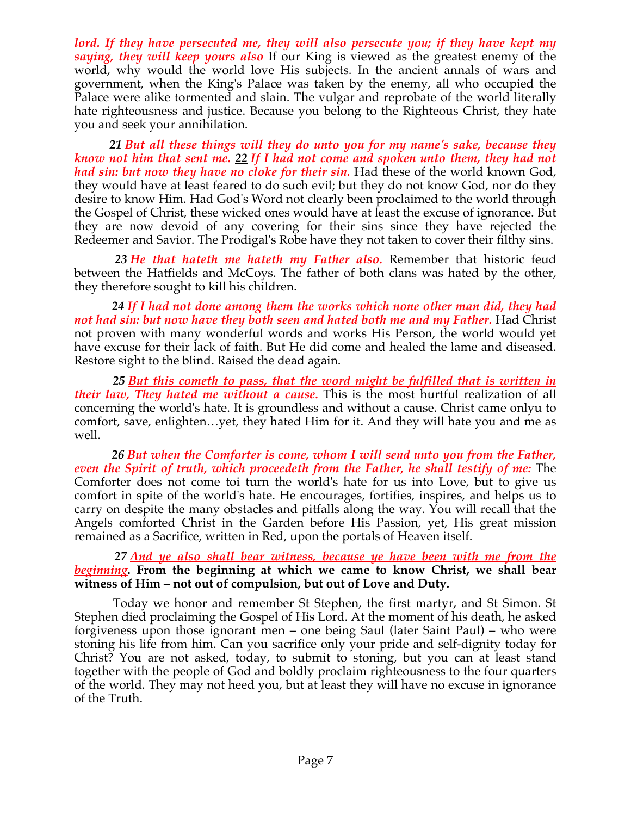*lord. If they have persecuted me, they will also persecute you; if they have kept my saying, they will keep yours also* If our King is viewed as the greatest enemy of the world, why would the world love His subjects. In the ancient annals of wars and government, when the King's Palace was taken by the enemy, all who occupied the Palace were alike tormented and slain. The vulgar and reprobate of the world literally hate righteousness and justice. Because you belong to the Righteous Christ, they hate you and seek your annihilation.

 *21 But all these things will they do unto you for my name's sake, because they know not him that sent me. 22 If I had not come and spoken unto them, they had not had sin: but now they have no cloke for their sin.* Had these of the world known God, they would have at least feared to do such evil; but they do not know God, nor do they desire to know Him. Had God's Word not clearly been proclaimed to the world through the Gospel of Christ, these wicked ones would have at least the excuse of ignorance. But they are now devoid of any covering for their sins since they have rejected the Redeemer and Savior. The Prodigal's Robe have they not taken to cover their filthy sins.

 *23 He that hateth me hateth my Father also.* Remember that historic feud between the Hatfields and McCoys. The father of both clans was hated by the other, they therefore sought to kill his children.

 *24 If I had not done among them the works which none other man did, they had not had sin: but now have they both seen and hated both me and my Father.* Had Christ not proven with many wonderful words and works His Person, the world would yet have excuse for their lack of faith. But He did come and healed the lame and diseased. Restore sight to the blind. Raised the dead again.

 *25 But this cometh to pass, that the word might be fulfilled that is written in their law, They hated me without a cause.* This is the most hurtful realization of all concerning the world's hate. It is groundless and without a cause. Christ came onlyu to comfort, save, enlighten…yet, they hated Him for it. And they will hate you and me as well.

 *26 But when the Comforter is come, whom I will send unto you from the Father, even the Spirit of truth, which proceedeth from the Father, he shall testify of me:* The Comforter does not come toi turn the world's hate for us into Love, but to give us comfort in spite of the world's hate. He encourages, fortifies, inspires, and helps us to carry on despite the many obstacles and pitfalls along the way. You will recall that the Angels comforted Christ in the Garden before His Passion, yet, His great mission remained as a Sacrifice, written in Red, upon the portals of Heaven itself.

 *27 And ye also shall bear witness, because ye have been with me from the beginning***. From the beginning at which we came to know Christ, we shall bear witness of Him – not out of compulsion, but out of Love and Duty.**

 Today we honor and remember St Stephen, the first martyr, and St Simon. St Stephen died proclaiming the Gospel of His Lord. At the moment of his death, he asked forgiveness upon those ignorant men – one being Saul (later Saint Paul) – who were stoning his life from him. Can you sacrifice only your pride and self-dignity today for Christ? You are not asked, today, to submit to stoning, but you can at least stand together with the people of God and boldly proclaim righteousness to the four quarters of the world. They may not heed you, but at least they will have no excuse in ignorance of the Truth.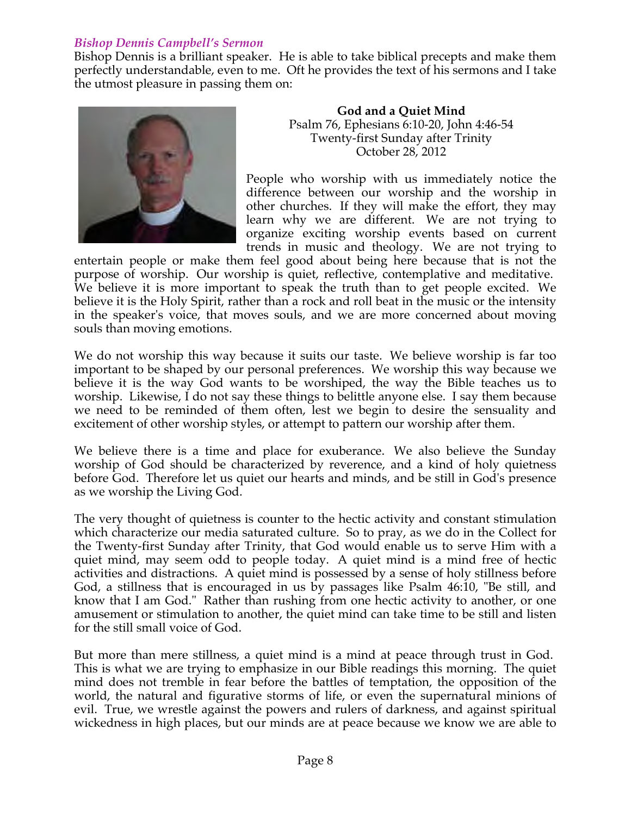# *Bishop Dennis Campbell's Sermon*

Bishop Dennis is a brilliant speaker. He is able to take biblical precepts and make them perfectly understandable, even to me. Oft he provides the text of his sermons and I take the utmost pleasure in passing them on:



**God and a Quiet Mind** Psalm 76, Ephesians 6:10-20, John 4:46-54 Twenty-first Sunday after Trinity October 28, 2012

People who worship with us immediately notice the difference between our worship and the worship in other churches. If they will make the effort, they may learn why we are different. We are not trying to organize exciting worship events based on current trends in music and theology. We are not trying to

entertain people or make them feel good about being here because that is not the purpose of worship. Our worship is quiet, reflective, contemplative and meditative. We believe it is more important to speak the truth than to get people excited. We believe it is the Holy Spirit, rather than a rock and roll beat in the music or the intensity in the speaker's voice, that moves souls, and we are more concerned about moving souls than moving emotions.

We do not worship this way because it suits our taste. We believe worship is far too important to be shaped by our personal preferences. We worship this way because we believe it is the way God wants to be worshiped, the way the Bible teaches us to worship. Likewise, I do not say these things to belittle anyone else. I say them because we need to be reminded of them often, lest we begin to desire the sensuality and excitement of other worship styles, or attempt to pattern our worship after them.

We believe there is a time and place for exuberance. We also believe the Sunday worship of God should be characterized by reverence, and a kind of holy quietness before God. Therefore let us quiet our hearts and minds, and be still in God's presence as we worship the Living God.

The very thought of quietness is counter to the hectic activity and constant stimulation which characterize our media saturated culture. So to pray, as we do in the Collect for the Twenty-first Sunday after Trinity, that God would enable us to serve Him with a quiet mind, may seem odd to people today. A quiet mind is a mind free of hectic activities and distractions. A quiet mind is possessed by a sense of holy stillness before God, a stillness that is encouraged in us by passages like Psalm 46:10, "Be still, and know that I am God." Rather than rushing from one hectic activity to another, or one amusement or stimulation to another, the quiet mind can take time to be still and listen for the still small voice of God.

But more than mere stillness, a quiet mind is a mind at peace through trust in God. This is what we are trying to emphasize in our Bible readings this morning. The quiet mind does not tremble in fear before the battles of temptation, the opposition of the world, the natural and figurative storms of life, or even the supernatural minions of evil. True, we wrestle against the powers and rulers of darkness, and against spiritual wickedness in high places, but our minds are at peace because we know we are able to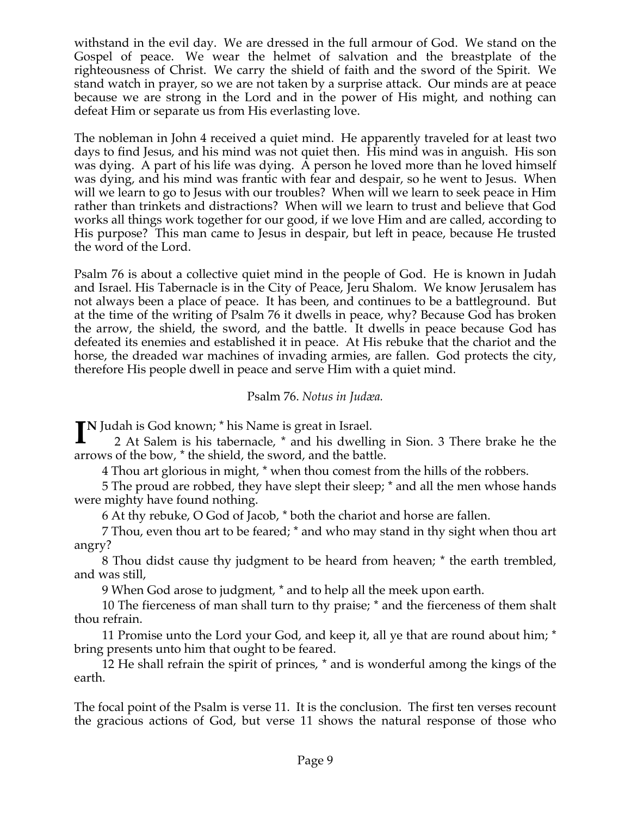withstand in the evil day. We are dressed in the full armour of God. We stand on the Gospel of peace. We wear the helmet of salvation and the breastplate of the righteousness of Christ. We carry the shield of faith and the sword of the Spirit. We stand watch in prayer, so we are not taken by a surprise attack. Our minds are at peace because we are strong in the Lord and in the power of His might, and nothing can defeat Him or separate us from His everlasting love.

The nobleman in John 4 received a quiet mind. He apparently traveled for at least two days to find Jesus, and his mind was not quiet then. His mind was in anguish. His son was dying. A part of his life was dying. A person he loved more than he loved himself was dying, and his mind was frantic with fear and despair, so he went to Jesus. When will we learn to go to Jesus with our troubles? When will we learn to seek peace in Him rather than trinkets and distractions? When will we learn to trust and believe that God works all things work together for our good, if we love Him and are called, according to His purpose? This man came to Jesus in despair, but left in peace, because He trusted the word of the Lord.

Psalm 76 is about a collective quiet mind in the people of God. He is known in Judah and Israel. His Tabernacle is in the City of Peace, Jeru Shalom. We know Jerusalem has not always been a place of peace. It has been, and continues to be a battleground. But at the time of the writing of Psalm 76 it dwells in peace, why? Because God has broken the arrow, the shield, the sword, and the battle. It dwells in peace because God has defeated its enemies and established it in peace. At His rebuke that the chariot and the horse, the dreaded war machines of invading armies, are fallen. God protects the city, therefore His people dwell in peace and serve Him with a quiet mind.

## Psalm 76. *Notus in Judæa.*

**N** Judah is God known; \* his Name is great in Israel. **I**2 At Salem is his tabernacle, \* and his dwelling in Sion. 3 There brake he the arrows of the bow, \* the shield, the sword, and the battle.

4 Thou art glorious in might, \* when thou comest from the hills of the robbers.

5 The proud are robbed, they have slept their sleep; \* and all the men whose hands were mighty have found nothing.

6 At thy rebuke, O God of Jacob, \* both the chariot and horse are fallen.

7 Thou, even thou art to be feared; \* and who may stand in thy sight when thou art angry?

8 Thou didst cause thy judgment to be heard from heaven; \* the earth trembled, and was still,

9 When God arose to judgment, \* and to help all the meek upon earth.

10 The fierceness of man shall turn to thy praise; \* and the fierceness of them shalt thou refrain.

11 Promise unto the Lord your God, and keep it, all ye that are round about him; \* bring presents unto him that ought to be feared.

12 He shall refrain the spirit of princes, \* and is wonderful among the kings of the earth.

The focal point of the Psalm is verse 11. It is the conclusion. The first ten verses recount the gracious actions of God, but verse 11 shows the natural response of those who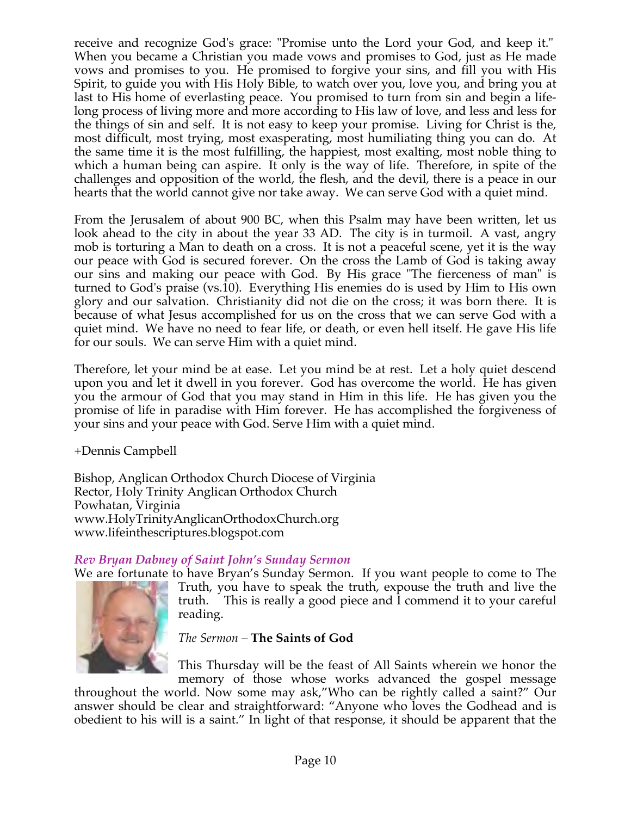receive and recognize God's grace: "Promise unto the Lord your God, and keep it." When you became a Christian you made vows and promises to God, just as He made vows and promises to you. He promised to forgive your sins, and fill you with His Spirit, to guide you with His Holy Bible, to watch over you, love you, and bring you at last to His home of everlasting peace. You promised to turn from sin and begin a lifelong process of living more and more according to His law of love, and less and less for the things of sin and self. It is not easy to keep your promise. Living for Christ is the, most difficult, most trying, most exasperating, most humiliating thing you can do. At the same time it is the most fulfilling, the happiest, most exalting, most noble thing to which a human being can aspire. It only is the way of life. Therefore, in spite of the challenges and opposition of the world, the flesh, and the devil, there is a peace in our hearts that the world cannot give nor take away. We can serve God with a quiet mind.

From the Jerusalem of about 900 BC, when this Psalm may have been written, let us look ahead to the city in about the year 33 AD. The city is in turmoil. A vast, angry mob is torturing a Man to death on a cross. It is not a peaceful scene, yet it is the way our peace with God is secured forever. On the cross the Lamb of God is taking away our sins and making our peace with God. By His grace "The fierceness of man" is turned to God's praise (vs.10). Everything His enemies do is used by Him to His own glory and our salvation. Christianity did not die on the cross; it was born there. It is because of what Jesus accomplished for us on the cross that we can serve God with a quiet mind. We have no need to fear life, or death, or even hell itself. He gave His life for our souls. We can serve Him with a quiet mind.

Therefore, let your mind be at ease. Let you mind be at rest. Let a holy quiet descend upon you and let it dwell in you forever. God has overcome the world. He has given you the armour of God that you may stand in Him in this life. He has given you the promise of life in paradise with Him forever. He has accomplished the forgiveness of your sins and your peace with God. Serve Him with a quiet mind.

+Dennis Campbell

Bishop, Anglican Orthodox Church Diocese of Virginia Rector, Holy Trinity Anglican Orthodox Church Powhatan, Virginia www.HolyTrinityAnglicanOrthodoxChurch.org www.lifeinthescriptures.blogspot.com

# *Rev Bryan Dabney of Saint John's Sunday Sermon*

We are fortunate to have Bryan's Sunday Sermon. If you want people to come to The Truth, you have to speak the truth, expouse the truth and live the truth. This is really a good piece and I commend it to your careful reading.

# *The Sermon –* **The Saints of God**

This Thursday will be the feast of All Saints wherein we honor the memory of those whose works advanced the gospel message

throughout the world. Now some may ask,"Who can be rightly called a saint?" Our answer should be clear and straightforward: "Anyone who loves the Godhead and is obedient to his will is a saint." In light of that response, it should be apparent that the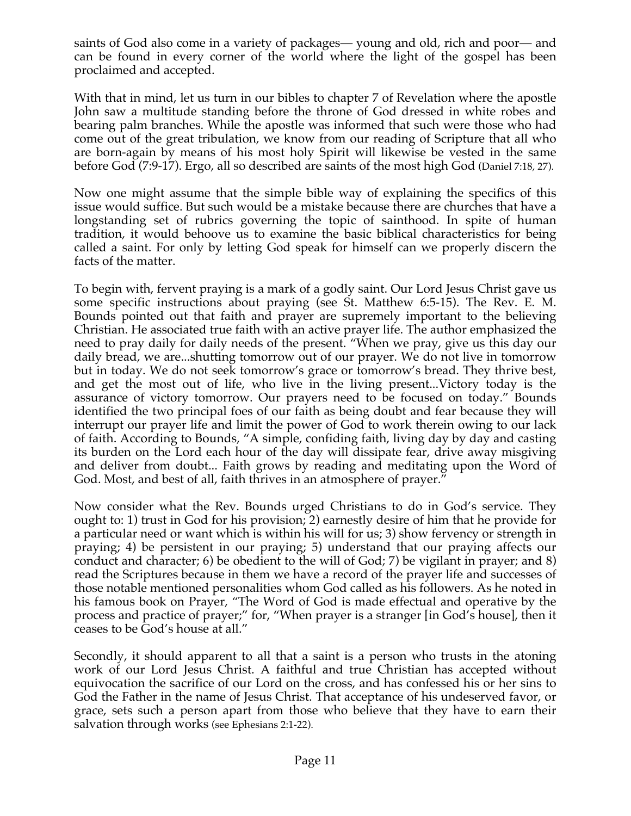saints of God also come in a variety of packages— young and old, rich and poor— and can be found in every corner of the world where the light of the gospel has been proclaimed and accepted.

With that in mind, let us turn in our bibles to chapter 7 of Revelation where the apostle John saw a multitude standing before the throne of God dressed in white robes and bearing palm branches. While the apostle was informed that such were those who had come out of the great tribulation, we know from our reading of Scripture that all who are born-again by means of his most holy Spirit will likewise be vested in the same before God (7:9-17). Ergo, all so described are saints of the most high God (Daniel 7:18, 27).

Now one might assume that the simple bible way of explaining the specifics of this issue would suffice. But such would be a mistake because there are churches that have a longstanding set of rubrics governing the topic of sainthood. In spite of human tradition, it would behoove us to examine the basic biblical characteristics for being called a saint. For only by letting God speak for himself can we properly discern the facts of the matter.

To begin with, fervent praying is a mark of a godly saint. Our Lord Jesus Christ gave us some specific instructions about praying (see St. Matthew 6:5-15). The Rev. E. M. Bounds pointed out that faith and prayer are supremely important to the believing Christian. He associated true faith with an active prayer life. The author emphasized the need to pray daily for daily needs of the present. "When we pray, give us this day our daily bread, we are...shutting tomorrow out of our prayer. We do not live in tomorrow but in today. We do not seek tomorrow's grace or tomorrow's bread. They thrive best, and get the most out of life, who live in the living present...Victory today is the assurance of victory tomorrow. Our prayers need to be focused on today." Bounds identified the two principal foes of our faith as being doubt and fear because they will interrupt our prayer life and limit the power of God to work therein owing to our lack of faith. According to Bounds, "A simple, confiding faith, living day by day and casting its burden on the Lord each hour of the day will dissipate fear, drive away misgiving and deliver from doubt... Faith grows by reading and meditating upon the Word of God. Most, and best of all, faith thrives in an atmosphere of prayer."

Now consider what the Rev. Bounds urged Christians to do in God's service. They ought to: 1) trust in God for his provision; 2) earnestly desire of him that he provide for a particular need or want which is within his will for us; 3) show fervency or strength in praying; 4) be persistent in our praying; 5) understand that our praying affects our conduct and character; 6) be obedient to the will of God; 7) be vigilant in prayer; and 8) read the Scriptures because in them we have a record of the prayer life and successes of those notable mentioned personalities whom God called as his followers. As he noted in his famous book on Prayer, "The Word of God is made effectual and operative by the process and practice of prayer;" for, "When prayer is a stranger [in God's house], then it ceases to be God's house at all."

Secondly, it should apparent to all that a saint is a person who trusts in the atoning work of our Lord Jesus Christ. A faithful and true Christian has accepted without equivocation the sacrifice of our Lord on the cross, and has confessed his or her sins to God the Father in the name of Jesus Christ. That acceptance of his undeserved favor, or grace, sets such a person apart from those who believe that they have to earn their salvation through works (see Ephesians 2:1-22).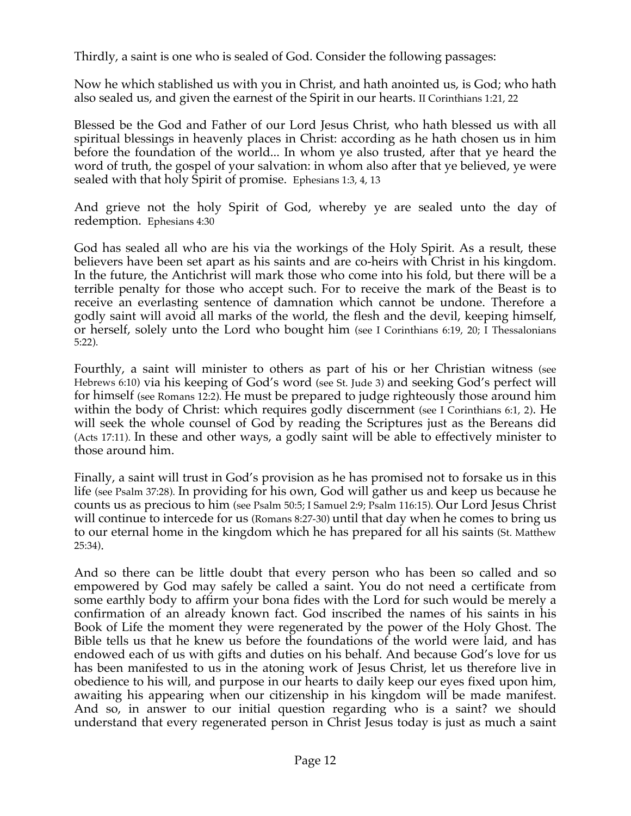Thirdly, a saint is one who is sealed of God. Consider the following passages:

Now he which stablished us with you in Christ, and hath anointed us, is God; who hath also sealed us, and given the earnest of the Spirit in our hearts. II Corinthians 1:21, 22

Blessed be the God and Father of our Lord Jesus Christ, who hath blessed us with all spiritual blessings in heavenly places in Christ: according as he hath chosen us in him before the foundation of the world... In whom ye also trusted, after that ye heard the word of truth, the gospel of your salvation: in whom also after that ye believed, ye were sealed with that holy Spirit of promise. Ephesians 1:3, 4, 13

And grieve not the holy Spirit of God, whereby ye are sealed unto the day of redemption. Ephesians 4:30

God has sealed all who are his via the workings of the Holy Spirit. As a result, these believers have been set apart as his saints and are co-heirs with Christ in his kingdom. In the future, the Antichrist will mark those who come into his fold, but there will be a terrible penalty for those who accept such. For to receive the mark of the Beast is to receive an everlasting sentence of damnation which cannot be undone. Therefore a godly saint will avoid all marks of the world, the flesh and the devil, keeping himself, or herself, solely unto the Lord who bought him (see I Corinthians 6:19, 20; I Thessalonians 5:22).

Fourthly, a saint will minister to others as part of his or her Christian witness (see Hebrews 6:10) via his keeping of God's word (see St. Jude 3) and seeking God's perfect will for himself (see Romans 12:2). He must be prepared to judge righteously those around him within the body of Christ: which requires godly discernment (see I Corinthians 6:1, 2). He will seek the whole counsel of God by reading the Scriptures just as the Bereans did (Acts 17:11). In these and other ways, a godly saint will be able to effectively minister to those around him.

Finally, a saint will trust in God's provision as he has promised not to forsake us in this life (see Psalm 37:28). In providing for his own, God will gather us and keep us because he counts us as precious to him (see Psalm 50:5; I Samuel 2:9; Psalm 116:15). Our Lord Jesus Christ will continue to intercede for us (Romans 8:27-30) until that day when he comes to bring us to our eternal home in the kingdom which he has prepared for all his saints (St. Matthew 25:34).

And so there can be little doubt that every person who has been so called and so empowered by God may safely be called a saint. You do not need a certificate from some earthly body to affirm your bona fides with the Lord for such would be merely a confirmation of an already known fact. God inscribed the names of his saints in his Book of Life the moment they were regenerated by the power of the Holy Ghost. The Bible tells us that he knew us before the foundations of the world were laid, and has endowed each of us with gifts and duties on his behalf. And because God's love for us has been manifested to us in the atoning work of Jesus Christ, let us therefore live in obedience to his will, and purpose in our hearts to daily keep our eyes fixed upon him, awaiting his appearing when our citizenship in his kingdom will be made manifest. And so, in answer to our initial question regarding who is a saint? we should understand that every regenerated person in Christ Jesus today is just as much a saint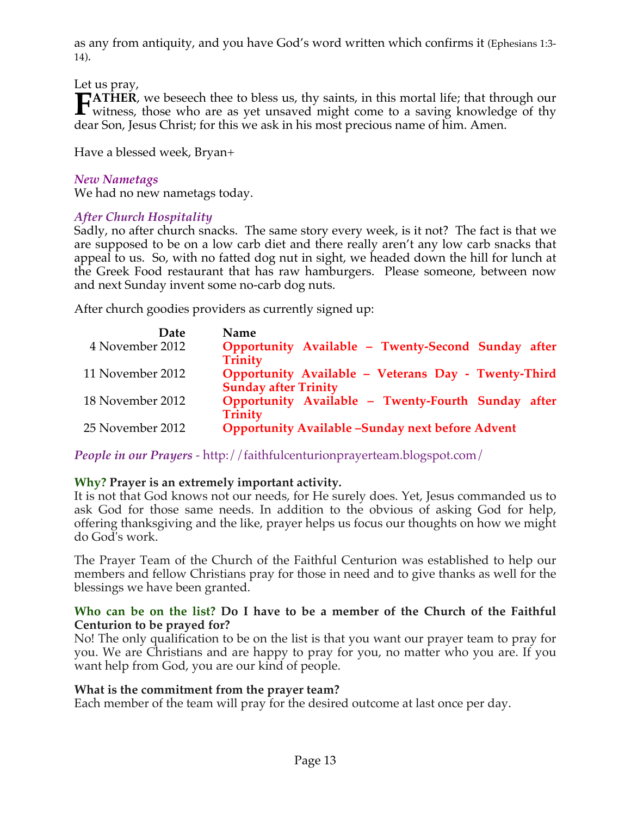as any from antiquity, and you have God's word written which confirms it (Ephesians 1:3- 14).

Let us pray,

**ATHER**, we beseech thee to bless us, thy saints, in this mortal life; that through our **FATHER**, we beseech thee to bless us, thy saints, in this mortal life; that through our witness, those who are as yet unsaved might come to a saving knowledge of thy dear Son, Jesus Christ; for this we ask in his most precious name of him. Amen.

Have a blessed week, Bryan+

# *New Nametags*

We had no new nametags today.

# *After Church Hospitality*

Sadly, no after church snacks. The same story every week, is it not? The fact is that we are supposed to be on a low carb diet and there really aren't any low carb snacks that appeal to us. So, with no fatted dog nut in sight, we headed down the hill for lunch at the Greek Food restaurant that has raw hamburgers. Please someone, between now and next Sunday invent some no-carb dog nuts.

After church goodies providers as currently signed up:

| <b>Name</b>                                             |
|---------------------------------------------------------|
| Opportunity Available - Twenty-Second Sunday after      |
| <b>Trinity</b>                                          |
| Opportunity Available - Veterans Day - Twenty-Third     |
| <b>Sunday after Trinity</b>                             |
| Opportunity Available - Twenty-Fourth Sunday after      |
| <b>Trinity</b>                                          |
| <b>Opportunity Available -Sunday next before Advent</b> |
|                                                         |

*People in our Prayers* - http://faithfulcenturionprayerteam.blogspot.com/

# **Why? Prayer is an extremely important activity.**

It is not that God knows not our needs, for He surely does. Yet, Jesus commanded us to ask God for those same needs. In addition to the obvious of asking God for help, offering thanksgiving and the like, prayer helps us focus our thoughts on how we might do God's work.

The Prayer Team of the Church of the Faithful Centurion was established to help our members and fellow Christians pray for those in need and to give thanks as well for the blessings we have been granted.

## **Who can be on the list? Do I have to be a member of the Church of the Faithful Centurion to be prayed for?**

No! The only qualification to be on the list is that you want our prayer team to pray for you. We are Christians and are happy to pray for you, no matter who you are. If you want help from God, you are our kind of people.

# **What is the commitment from the prayer team?**

Each member of the team will pray for the desired outcome at last once per day.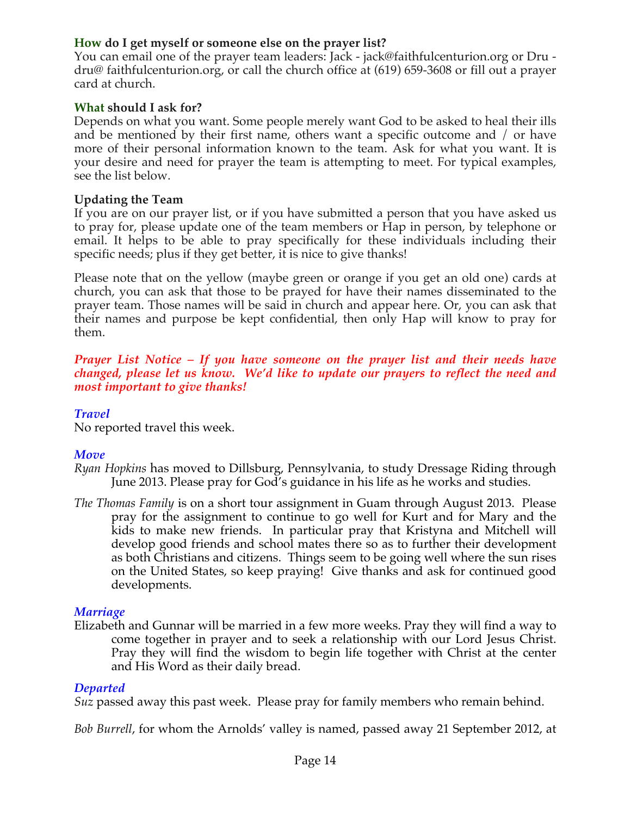# **How do I get myself or someone else on the prayer list?**

You can email one of the prayer team leaders: Jack - jack@faithfulcenturion.org or Dru dru@ faithfulcenturion.org, or call the church office at (619) 659-3608 or fill out a prayer card at church.

## **What should I ask for?**

Depends on what you want. Some people merely want God to be asked to heal their ills and be mentioned by their first name, others want a specific outcome and / or have more of their personal information known to the team. Ask for what you want. It is your desire and need for prayer the team is attempting to meet. For typical examples, see the list below.

#### **Updating the Team**

If you are on our prayer list, or if you have submitted a person that you have asked us to pray for, please update one of the team members or Hap in person, by telephone or email. It helps to be able to pray specifically for these individuals including their specific needs; plus if they get better, it is nice to give thanks!

Please note that on the yellow (maybe green or orange if you get an old one) cards at church, you can ask that those to be prayed for have their names disseminated to the prayer team. Those names will be said in church and appear here. Or, you can ask that their names and purpose be kept confidential, then only Hap will know to pray for them.

*Prayer List Notice – If you have someone on the prayer list and their needs have changed, please let us know. We'd like to update our prayers to reflect the need and most important to give thanks!*

## *Travel*

No reported travel this week.

## *Move*

- *Ryan Hopkins* has moved to Dillsburg, Pennsylvania, to study Dressage Riding through June 2013. Please pray for God's guidance in his life as he works and studies.
- *The Thomas Family* is on a short tour assignment in Guam through August 2013. Please pray for the assignment to continue to go well for Kurt and for Mary and the kids to make new friends. In particular pray that Kristyna and Mitchell will develop good friends and school mates there so as to further their development as both Christians and citizens. Things seem to be going well where the sun rises on the United States, so keep praying! Give thanks and ask for continued good developments.

## *Marriage*

Elizabeth and Gunnar will be married in a few more weeks. Pray they will find a way to come together in prayer and to seek a relationship with our Lord Jesus Christ. Pray they will find the wisdom to begin life together with Christ at the center and His Word as their daily bread.

## *Departed*

*Suz* passed away this past week. Please pray for family members who remain behind.

*Bob Burrell*, for whom the Arnolds' valley is named, passed away 21 September 2012, at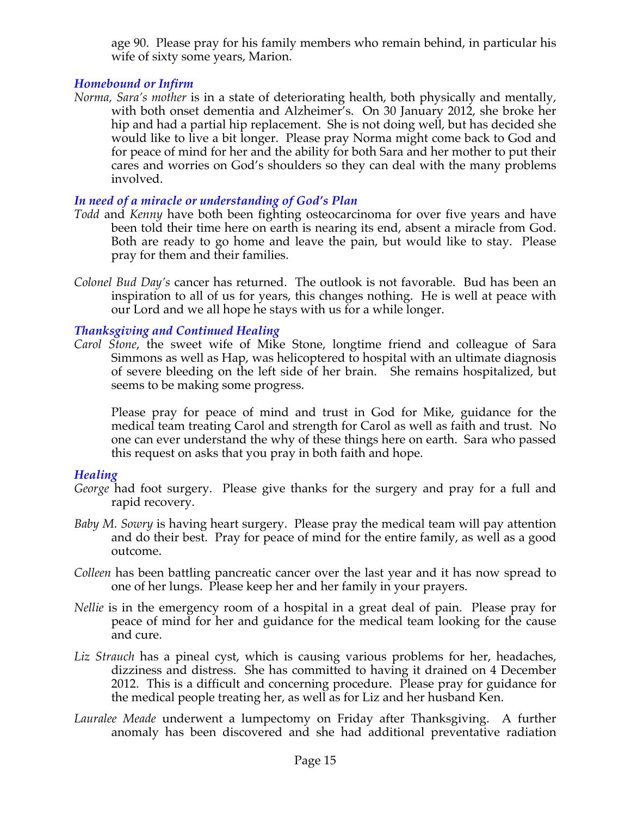age 90. Please pray for his family members who remain behind, in particular his wife of sixty some years, Marion.

# *Homebound or Infirm*

*Norma, Sara's mother* is in a state of deteriorating health, both physically and mentally, with both onset dementia and Alzheimer's. On 30 January 2012, she broke her hip and had a partial hip replacement. She is not doing well, but has decided she would like to live a bit longer. Please pray Norma might come back to God and for peace of mind for her and the ability for both Sara and her mother to put their cares and worries on God's shoulders so they can deal with the many problems involved.

# *In need of a miracle or understanding of God's Plan*

- *Todd* and *Kenny* have both been fighting osteocarcinoma for over five years and have been told their time here on earth is nearing its end, absent a miracle from God. Both are ready to go home and leave the pain, but would like to stay. Please pray for them and their families.
- *Colonel Bud Day's* cancer has returned. The outlook is not favorable. Bud has been an inspiration to all of us for years, this changes nothing. He is well at peace with our Lord and we all hope he stays with us for a while longer.

## *Thanksgiving and Continued Healing*

*Carol Stone*, the sweet wife of Mike Stone, longtime friend and colleague of Sara Simmons as well as Hap, was helicoptered to hospital with an ultimate diagnosis of severe bleeding on the left side of her brain. She remains hospitalized, but seems to be making some progress.

Please pray for peace of mind and trust in God for Mike, guidance for the medical team treating Carol and strength for Carol as well as faith and trust. No one can ever understand the why of these things here on earth. Sara who passed this request on asks that you pray in both faith and hope.

## *Healing*

- *George* had foot surgery. Please give thanks for the surgery and pray for a full and rapid recovery.
- *Baby M. Sowry* is having heart surgery. Please pray the medical team will pay attention and do their best. Pray for peace of mind for the entire family, as well as a good outcome.
- *Colleen* has been battling pancreatic cancer over the last year and it has now spread to one of her lungs. Please keep her and her family in your prayers.
- *Nellie* is in the emergency room of a hospital in a great deal of pain. Please pray for peace of mind for her and guidance for the medical team looking for the cause and cure.
- *Liz Strauch* has a pineal cyst, which is causing various problems for her, headaches, dizziness and distress. She has committed to having it drained on 4 December 2012. This is a difficult and concerning procedure. Please pray for guidance for the medical people treating her, as well as for Liz and her husband Ken.
- *Lauralee Meade* underwent a lumpectomy on Friday after Thanksgiving. A further anomaly has been discovered and she had additional preventative radiation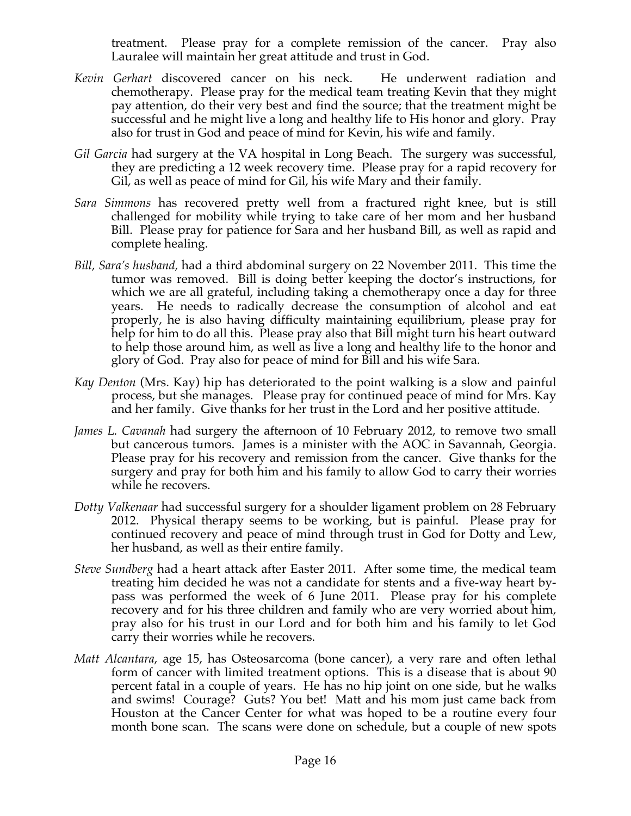treatment. Please pray for a complete remission of the cancer. Pray also Lauralee will maintain her great attitude and trust in God.

- *Kevin Gerhart* discovered cancer on his neck. He underwent radiation and chemotherapy. Please pray for the medical team treating Kevin that they might pay attention, do their very best and find the source; that the treatment might be successful and he might live a long and healthy life to His honor and glory. Pray also for trust in God and peace of mind for Kevin, his wife and family.
- *Gil Garcia* had surgery at the VA hospital in Long Beach. The surgery was successful, they are predicting a 12 week recovery time. Please pray for a rapid recovery for Gil, as well as peace of mind for Gil, his wife Mary and their family.
- *Sara Simmons* has recovered pretty well from a fractured right knee, but is still challenged for mobility while trying to take care of her mom and her husband Bill. Please pray for patience for Sara and her husband Bill, as well as rapid and complete healing.
- *Bill, Sara's husband,* had a third abdominal surgery on 22 November 2011. This time the tumor was removed. Bill is doing better keeping the doctor's instructions, for which we are all grateful, including taking a chemotherapy once a day for three years. He needs to radically decrease the consumption of alcohol and eat properly, he is also having difficulty maintaining equilibrium, please pray for help for him to do all this. Please pray also that Bill might turn his heart outward to help those around him, as well as live a long and healthy life to the honor and glory of God. Pray also for peace of mind for Bill and his wife Sara.
- *Kay Denton* (Mrs. Kay) hip has deteriorated to the point walking is a slow and painful process, but she manages. Please pray for continued peace of mind for Mrs. Kay and her family. Give thanks for her trust in the Lord and her positive attitude.
- *James L. Cavanah* had surgery the afternoon of 10 February 2012, to remove two small but cancerous tumors. James is a minister with the AOC in Savannah, Georgia. Please pray for his recovery and remission from the cancer. Give thanks for the surgery and pray for both him and his family to allow God to carry their worries while he recovers.
- *Dotty Valkenaar* had successful surgery for a shoulder ligament problem on 28 February 2012. Physical therapy seems to be working, but is painful. Please pray for continued recovery and peace of mind through trust in God for Dotty and Lew, her husband, as well as their entire family.
- *Steve Sundberg* had a heart attack after Easter 2011. After some time, the medical team treating him decided he was not a candidate for stents and a five-way heart bypass was performed the week of 6 June 2011. Please pray for his complete recovery and for his three children and family who are very worried about him, pray also for his trust in our Lord and for both him and his family to let God carry their worries while he recovers.
- *Matt Alcantara*, age 15, has Osteosarcoma (bone cancer), a very rare and often lethal form of cancer with limited treatment options. This is a disease that is about 90 percent fatal in a couple of years. He has no hip joint on one side, but he walks and swims! Courage? Guts? You bet! Matt and his mom just came back from Houston at the Cancer Center for what was hoped to be a routine every four month bone scan. The scans were done on schedule, but a couple of new spots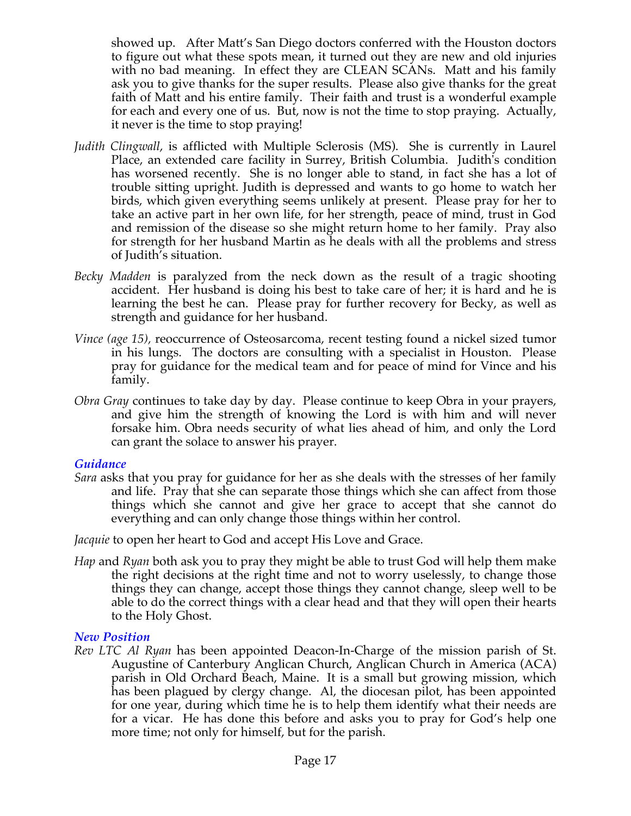showed up. After Matt's San Diego doctors conferred with the Houston doctors to figure out what these spots mean, it turned out they are new and old injuries with no bad meaning. In effect they are CLEAN SCANs. Matt and his family ask you to give thanks for the super results. Please also give thanks for the great faith of Matt and his entire family. Their faith and trust is a wonderful example for each and every one of us. But, now is not the time to stop praying. Actually, it never is the time to stop praying!

- *Judith Clingwall*, is afflicted with Multiple Sclerosis (MS). She is currently in Laurel Place, an extended care facility in Surrey, British Columbia. Judith's condition has worsened recently. She is no longer able to stand, in fact she has a lot of trouble sitting upright. Judith is depressed and wants to go home to watch her birds, which given everything seems unlikely at present. Please pray for her to take an active part in her own life, for her strength, peace of mind, trust in God and remission of the disease so she might return home to her family. Pray also for strength for her husband Martin as he deals with all the problems and stress of Judith's situation.
- *Becky Madden* is paralyzed from the neck down as the result of a tragic shooting accident. Her husband is doing his best to take care of her; it is hard and he is learning the best he can. Please pray for further recovery for Becky, as well as strength and guidance for her husband.
- *Vince (age 15),* reoccurrence of Osteosarcoma, recent testing found a nickel sized tumor in his lungs. The doctors are consulting with a specialist in Houston. Please pray for guidance for the medical team and for peace of mind for Vince and his family.
- *Obra Gray* continues to take day by day. Please continue to keep Obra in your prayers, and give him the strength of knowing the Lord is with him and will never forsake him. Obra needs security of what lies ahead of him, and only the Lord can grant the solace to answer his prayer.

#### *Guidance*

*Sara* asks that you pray for guidance for her as she deals with the stresses of her family and life. Pray that she can separate those things which she can affect from those things which she cannot and give her grace to accept that she cannot do everything and can only change those things within her control.

*Jacquie* to open her heart to God and accept His Love and Grace.

*Hap* and *Ryan* both ask you to pray they might be able to trust God will help them make the right decisions at the right time and not to worry uselessly, to change those things they can change, accept those things they cannot change, sleep well to be able to do the correct things with a clear head and that they will open their hearts to the Holy Ghost.

#### *New Position*

*Rev LTC Al Ryan* has been appointed Deacon-In-Charge of the mission parish of St. Augustine of Canterbury Anglican Church, Anglican Church in America (ACA) parish in Old Orchard Beach, Maine. It is a small but growing mission, which has been plagued by clergy change. Al, the diocesan pilot, has been appointed for one year, during which time he is to help them identify what their needs are for a vicar. He has done this before and asks you to pray for God's help one more time; not only for himself, but for the parish.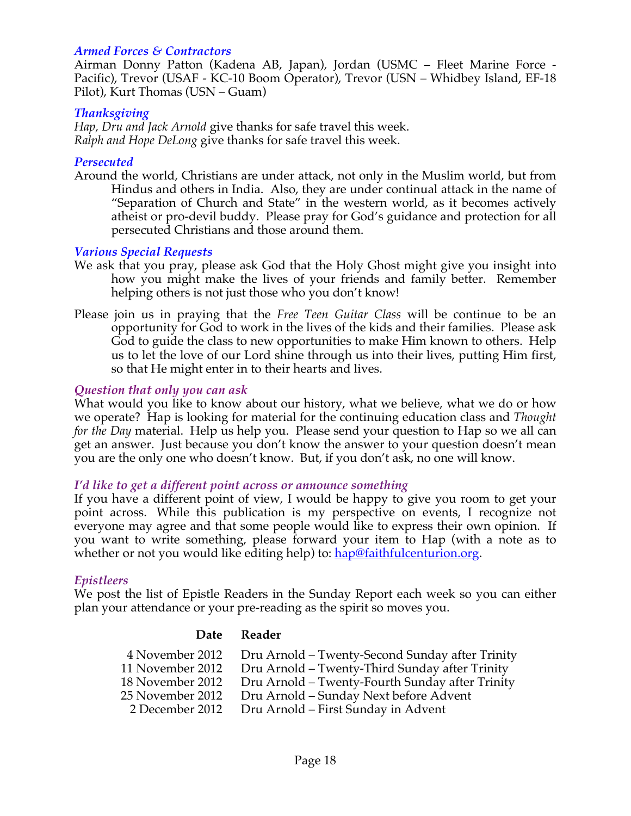## *Armed Forces & Contractors*

Airman Donny Patton (Kadena AB, Japan), Jordan (USMC – Fleet Marine Force - Pacific), Trevor (USAF - KC-10 Boom Operator), Trevor (USN – Whidbey Island, EF-18 Pilot), Kurt Thomas (USN – Guam)

#### *Thanksgiving*

*Hap, Dru and Jack Arnold* give thanks for safe travel this week. *Ralph and Hope DeLong* give thanks for safe travel this week.

#### *Persecuted*

Around the world, Christians are under attack, not only in the Muslim world, but from Hindus and others in India. Also, they are under continual attack in the name of "Separation of Church and State" in the western world, as it becomes actively atheist or pro-devil buddy. Please pray for God's guidance and protection for all persecuted Christians and those around them.

#### *Various Special Requests*

- We ask that you pray, please ask God that the Holy Ghost might give you insight into how you might make the lives of your friends and family better. Remember helping others is not just those who you don't know!
- Please join us in praying that the *Free Teen Guitar Class* will be continue to be an opportunity for God to work in the lives of the kids and their families. Please ask God to guide the class to new opportunities to make Him known to others. Help us to let the love of our Lord shine through us into their lives, putting Him first, so that He might enter in to their hearts and lives.

#### *Question that only you can ask*

What would you like to know about our history, what we believe, what we do or how we operate? Hap is looking for material for the continuing education class and *Thought for the Day* material. Help us help you. Please send your question to Hap so we all can get an answer. Just because you don't know the answer to your question doesn't mean you are the only one who doesn't know. But, if you don't ask, no one will know.

#### *I'd like to get a different point across or announce something*

If you have a different point of view, I would be happy to give you room to get your point across. While this publication is my perspective on events, I recognize not everyone may agree and that some people would like to express their own opinion. If you want to write something, please forward your item to Hap (with a note as to whether or not you would like editing help) to: hap@faithfulcenturion.org.

#### *Epistleers*

We post the list of Epistle Readers in the Sunday Report each week so you can either plan your attendance or your pre-reading as the spirit so moves you.

#### **Date Reader**

| Dru Arnold – Twenty-Second Sunday after Trinity |
|-------------------------------------------------|
| Dru Arnold - Twenty-Third Sunday after Trinity  |
| Dru Arnold – Twenty-Fourth Sunday after Trinity |
| Dru Arnold – Sunday Next before Advent          |
| Dru Arnold – First Sunday in Advent             |
|                                                 |